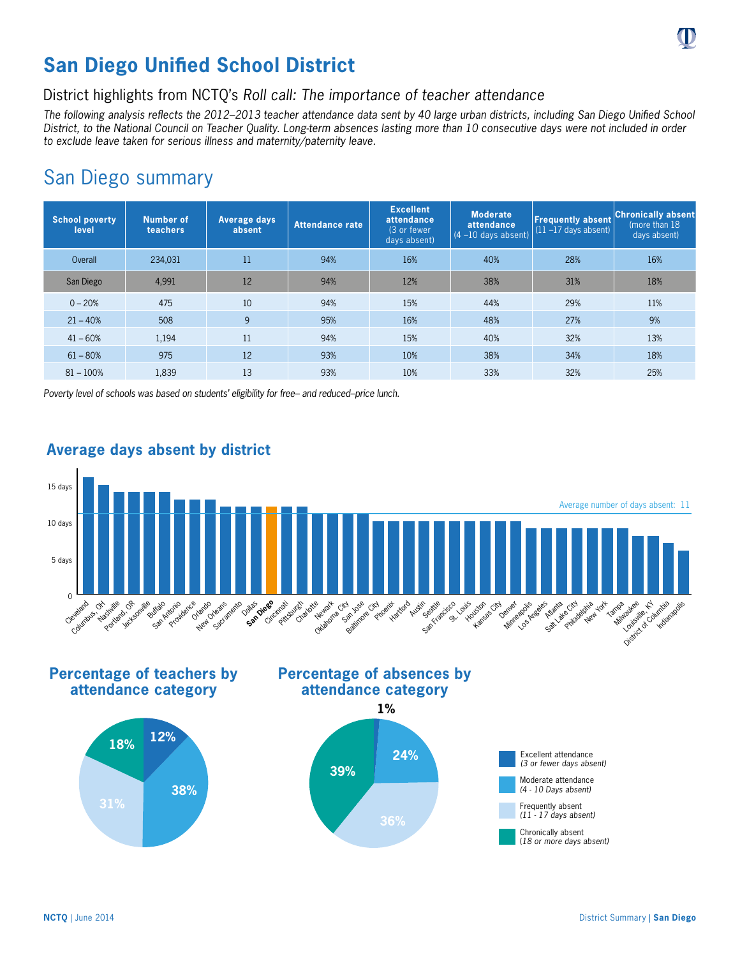

# **San Diego Unified School District**

## District highlights from NCTQ's *Roll call: The importance of teacher attendance*

*The following analysis reflects the 2012–2013 teacher attendance data sent by 40 large urban districts, including San Diego Unified School District, to the National Council on Teacher Quality. Long-term absences lasting more than 10 consecutive days were not included in order to exclude leave taken for serious illness and maternity/paternity leave.*

## San Diego summary

| <b>School poverty</b><br>level | Number of<br>teachers | <b>Average days</b><br>absent | Attendance rate | <b>Excellent</b><br>attendance<br>(3 or fewer<br>days absent) | <b>Moderate</b><br>attendance<br>$(4 - 10$ days absent) | <b>Frequently absent</b><br>$(11 - 17$ days absent) | <b>Chronically absent</b><br>(more than 18)<br>days absent) |
|--------------------------------|-----------------------|-------------------------------|-----------------|---------------------------------------------------------------|---------------------------------------------------------|-----------------------------------------------------|-------------------------------------------------------------|
| Overall                        | 234,031               | 11                            | 94%             | 16%                                                           | 40%                                                     | 28%                                                 | 16%                                                         |
| San Diego                      | 4,991                 | 12                            | 94%             | 12%                                                           | 38%                                                     | 31%                                                 | 18%                                                         |
| $0 - 20%$                      | 475                   | 10                            | 94%             | 15%                                                           | 44%                                                     | 29%                                                 | 11%                                                         |
| $21 - 40%$                     | 508                   | 9                             | 95%             | 16%                                                           | 48%                                                     | 27%                                                 | 9%                                                          |
| $41 - 60%$                     | 1,194                 | 11                            | 94%             | 15%                                                           | 40%                                                     | 32%                                                 | 13%                                                         |
| $61 - 80%$                     | 975                   | 12                            | 93%             | 10%                                                           | 38%                                                     | 34%                                                 | 18%                                                         |
| $81 - 100%$                    | 1,839                 | 13                            | 93%             | 10%                                                           | 33%                                                     | 32%                                                 | 25%                                                         |

*Poverty level of schools was based on students' eligibility for free– and reduced–price lunch.*



## **Average days absent by district**

**Percentage of teachers by attendance category**









(*18 or more days absent)*